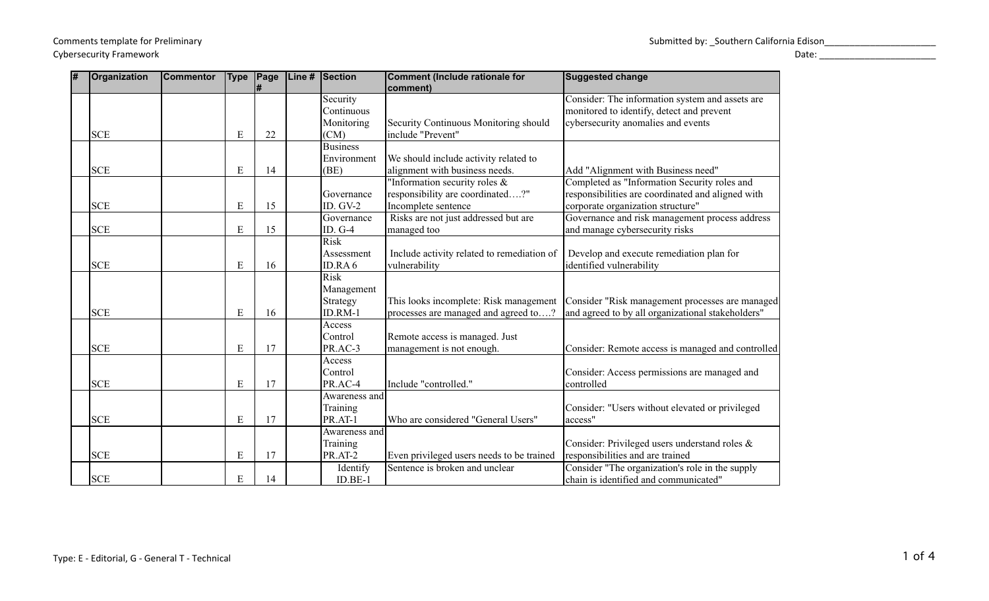Cybersecurity Framework Date: \_\_\_\_\_\_\_\_\_\_\_\_\_\_\_\_\_\_\_\_\_\_\_

| l# | Organization | <b>Commentor</b> | <b>Type</b> | Page | Line# | Section         | Comment (Include rationale for             | <b>Suggested change</b>                           |
|----|--------------|------------------|-------------|------|-------|-----------------|--------------------------------------------|---------------------------------------------------|
|    |              |                  |             |      |       |                 | comment)                                   |                                                   |
|    |              |                  |             |      |       | Security        |                                            | Consider: The information system and assets are   |
|    |              |                  |             |      |       | Continuous      |                                            | monitored to identify, detect and prevent         |
|    |              |                  |             |      |       | Monitoring      | Security Continuous Monitoring should      | cybersecurity anomalies and events                |
|    | <b>SCE</b>   |                  | E           | 22   |       | (CM)            | include "Prevent"                          |                                                   |
|    |              |                  |             |      |       | <b>Business</b> |                                            |                                                   |
|    |              |                  |             |      |       | Environment     | We should include activity related to      |                                                   |
|    | <b>SCE</b>   |                  | E           | 14   |       | (BE)            | alignment with business needs.             | Add "Alignment with Business need"                |
|    |              |                  |             |      |       |                 | "Information security roles &              | Completed as "Information Security roles and      |
|    |              |                  |             |      |       | Governance      | responsibility are coordinated?"           | responsibilities are coordinated and aligned with |
|    | <b>SCE</b>   |                  | $\mathbf E$ | 15   |       | ID. GV-2        | Incomplete sentence                        | corporate organization structure"                 |
|    |              |                  |             |      |       | Governance      | Risks are not just addressed but are       | Governance and risk management process address    |
|    | <b>SCE</b>   |                  | ${\bf E}$   | 15   |       | ID. G-4         | managed too                                | and manage cybersecurity risks                    |
|    |              |                  |             |      |       | <b>Risk</b>     |                                            |                                                   |
|    |              |                  |             |      |       | Assessment      | Include activity related to remediation of | Develop and execute remediation plan for          |
|    | <b>SCE</b>   |                  | E           | 16   |       | ID.RA6          | vulnerability                              | identified vulnerability                          |
|    |              |                  |             |      |       | <b>Risk</b>     |                                            |                                                   |
|    |              |                  |             |      |       | Management      |                                            |                                                   |
|    |              |                  |             |      |       | Strategy        | This looks incomplete: Risk management     | Consider "Risk management processes are managed   |
|    | <b>SCE</b>   |                  | E           | 16   |       | ID.RM-1         | processes are managed and agreed to?       | and agreed to by all organizational stakeholders" |
|    |              |                  |             |      |       | Access          |                                            |                                                   |
|    |              |                  |             |      |       | Control         | Remote access is managed. Just             |                                                   |
|    | <b>SCE</b>   |                  | E           | 17   |       | PR.AC-3         | management is not enough.                  | Consider: Remote access is managed and controlled |
|    |              |                  |             |      |       | Access          |                                            |                                                   |
|    |              |                  |             |      |       | Control         |                                            | Consider: Access permissions are managed and      |
|    | <b>SCE</b>   |                  | E           | 17   |       | PR.AC-4         | Include "controlled."                      | controlled                                        |
|    |              |                  |             |      |       | Awareness and   |                                            |                                                   |
|    |              |                  |             |      |       | Training        |                                            | Consider: "Users without elevated or privileged   |
|    | <b>SCE</b>   |                  | E           | 17   |       | PR.AT-1         | Who are considered "General Users"         | access"                                           |
|    |              |                  |             |      |       | Awareness and   |                                            |                                                   |
|    |              |                  |             |      |       | Training        |                                            | Consider: Privileged users understand roles &     |
|    | <b>SCE</b>   |                  | E           | 17   |       | PR.AT-2         | Even privileged users needs to be trained  | responsibilities and are trained                  |
|    |              |                  |             |      |       | Identify        | Sentence is broken and unclear             | Consider "The organization's role in the supply   |
|    | <b>SCE</b>   |                  | ${\bf E}$   | 14   |       | $ID.BE-1$       |                                            | chain is identified and communicated"             |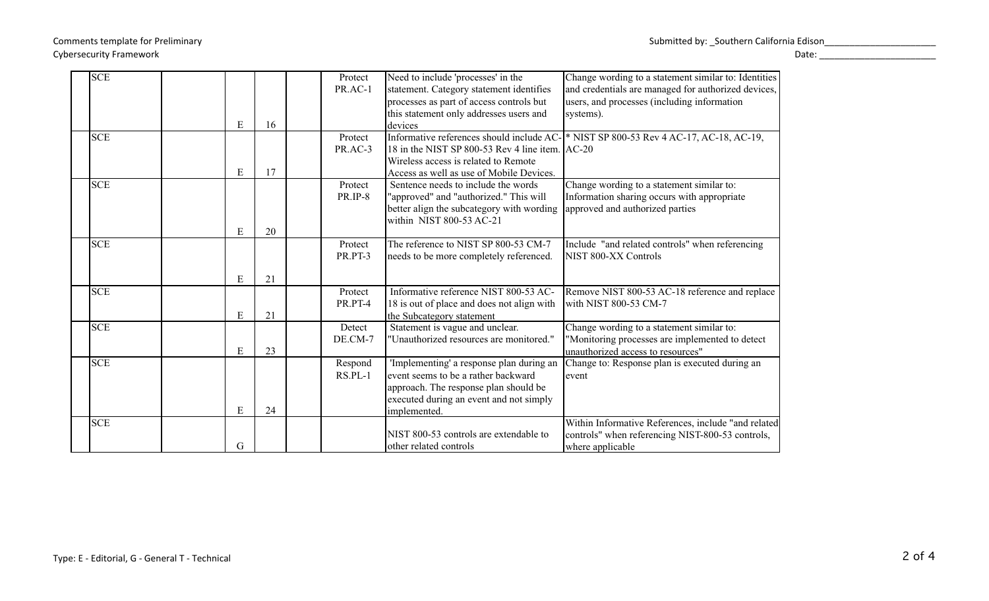## Cybersecurity Framework Date: \_\_\_\_\_\_\_\_\_\_\_\_\_\_\_\_\_\_\_\_\_\_\_

| <b>SCE</b> |   |    | Protect | Need to include 'processes' in the              | Change wording to a statement similar to: Identities                                  |
|------------|---|----|---------|-------------------------------------------------|---------------------------------------------------------------------------------------|
|            |   |    | PR.AC-1 | statement. Category statement identifies        | and credentials are managed for authorized devices,                                   |
|            |   |    |         | processes as part of access controls but        | users, and processes (including information                                           |
|            |   |    |         | this statement only addresses users and         | systems).                                                                             |
|            | E | 16 |         | devices                                         |                                                                                       |
| <b>SCE</b> |   |    | Protect |                                                 | Informative references should include AC- * NIST SP 800-53 Rev 4 AC-17, AC-18, AC-19, |
|            |   |    | PR.AC-3 | 18 in the NIST SP 800-53 Rev 4 line item. AC-20 |                                                                                       |
|            |   |    |         | Wireless access is related to Remote            |                                                                                       |
|            | E | 17 |         | Access as well as use of Mobile Devices.        |                                                                                       |
| <b>SCE</b> |   |    | Protect | Sentence needs to include the words             | Change wording to a statement similar to:                                             |
|            |   |    | PR.IP-8 | "approved" and "authorized." This will          | Information sharing occurs with appropriate                                           |
|            |   |    |         | better align the subcategory with wording       | approved and authorized parties                                                       |
|            |   |    |         | within NIST 800-53 AC-21                        |                                                                                       |
|            | E | 20 |         |                                                 |                                                                                       |
| <b>SCE</b> |   |    | Protect | The reference to NIST SP 800-53 CM-7            | Include "and related controls" when referencing                                       |
|            |   |    | PR.PT-3 | needs to be more completely referenced.         | NIST 800-XX Controls                                                                  |
|            |   |    |         |                                                 |                                                                                       |
|            | E | 21 |         |                                                 |                                                                                       |
| <b>SCE</b> |   |    | Protect | Informative reference NIST 800-53 AC-           | Remove NIST 800-53 AC-18 reference and replace                                        |
|            |   |    | PR.PT-4 | 18 is out of place and does not align with      | with NIST 800-53 CM-7                                                                 |
|            | E | 21 |         | the Subcategory statement                       |                                                                                       |
| <b>SCE</b> |   |    | Detect  | Statement is vague and unclear.                 | Change wording to a statement similar to:                                             |
|            |   |    | DE.CM-7 | "Unauthorized resources are monitored."         | 'Monitoring processes are implemented to detect                                       |
|            | E | 23 |         |                                                 | unauthorized access to resources"                                                     |
| <b>SCE</b> |   |    | Respond | 'Implementing' a response plan during an        | Change to: Response plan is executed during an                                        |
|            |   |    | RS.PL-1 | event seems to be a rather backward             | event                                                                                 |
|            |   |    |         | approach. The response plan should be           |                                                                                       |
|            |   |    |         | executed during an event and not simply         |                                                                                       |
|            | E | 24 |         | implemented.                                    |                                                                                       |
| <b>SCE</b> |   |    |         |                                                 | Within Informative References, include "and related                                   |
|            |   |    |         | NIST 800-53 controls are extendable to          | controls" when referencing NIST-800-53 controls,                                      |
|            | G |    |         | other related controls                          | where applicable                                                                      |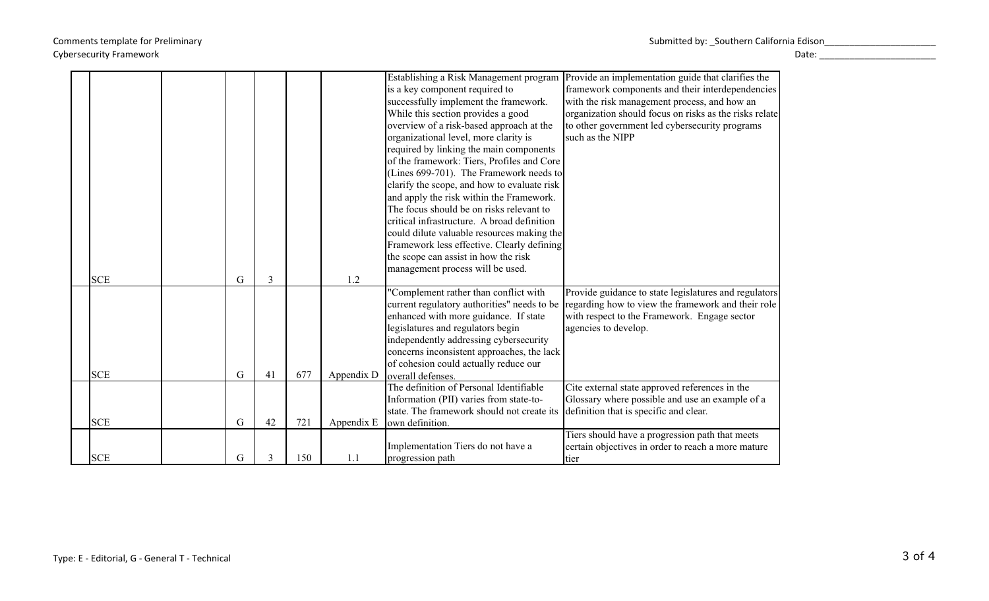|            |   |    |     |            | Establishing a Risk Management program      | Provide an implementation guide that clarifies the     |
|------------|---|----|-----|------------|---------------------------------------------|--------------------------------------------------------|
|            |   |    |     |            | is a key component required to              | framework components and their interdependencies       |
|            |   |    |     |            | successfully implement the framework.       | with the risk management process, and how an           |
|            |   |    |     |            | While this section provides a good          | organization should focus on risks as the risks relate |
|            |   |    |     |            | overview of a risk-based approach at the    | to other government led cybersecurity programs         |
|            |   |    |     |            | organizational level, more clarity is       | such as the NIPP                                       |
|            |   |    |     |            | required by linking the main components     |                                                        |
|            |   |    |     |            | of the framework: Tiers, Profiles and Core  |                                                        |
|            |   |    |     |            | (Lines 699-701). The Framework needs to     |                                                        |
|            |   |    |     |            | clarify the scope, and how to evaluate risk |                                                        |
|            |   |    |     |            | and apply the risk within the Framework.    |                                                        |
|            |   |    |     |            | The focus should be on risks relevant to    |                                                        |
|            |   |    |     |            | critical infrastructure. A broad definition |                                                        |
|            |   |    |     |            | could dilute valuable resources making the  |                                                        |
|            |   |    |     |            | Framework less effective. Clearly defining  |                                                        |
|            |   |    |     |            | the scope can assist in how the risk        |                                                        |
|            |   |    |     |            | management process will be used.            |                                                        |
| <b>SCE</b> | G | 3  |     | 1.2        |                                             |                                                        |
|            |   |    |     |            | "Complement rather than conflict with       | Provide guidance to state legislatures and regulators  |
|            |   |    |     |            | current regulatory authorities" needs to be | regarding how to view the framework and their role     |
|            |   |    |     |            | enhanced with more guidance. If state       | with respect to the Framework. Engage sector           |
|            |   |    |     |            | legislatures and regulators begin           | agencies to develop.                                   |
|            |   |    |     |            | independently addressing cybersecurity      |                                                        |
|            |   |    |     |            | concerns inconsistent approaches, the lack  |                                                        |
|            |   |    |     |            | of cohesion could actually reduce our       |                                                        |
| <b>SCE</b> | G | 41 | 677 | Appendix D | loverall defenses.                          |                                                        |
|            |   |    |     |            | The definition of Personal Identifiable     | Cite external state approved references in the         |
|            |   |    |     |            | Information (PII) varies from state-to-     | Glossary where possible and use an example of a        |
|            |   |    |     |            | state. The framework should not create its  | definition that is specific and clear.                 |
| <b>SCE</b> | G | 42 | 721 | Appendix E | own definition.                             |                                                        |
|            |   |    |     |            |                                             | Tiers should have a progression path that meets        |
|            |   |    |     |            | Implementation Tiers do not have a          | certain objectives in order to reach a more mature     |
| <b>SCE</b> | G | 3  | 150 | 1.1        | progression path                            |                                                        |